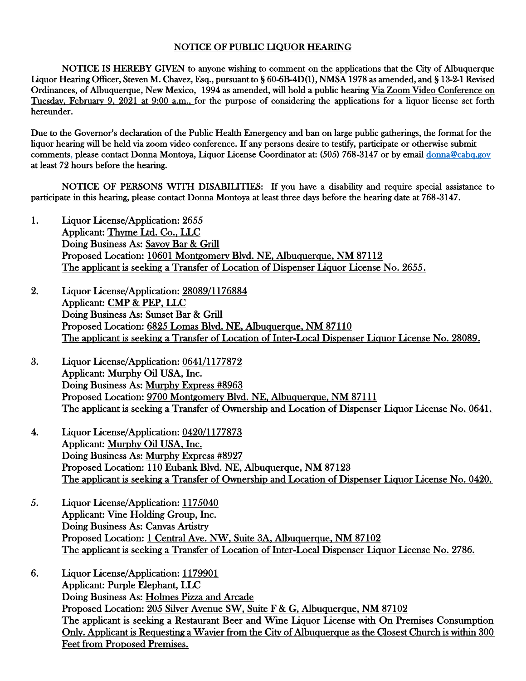## NOTICE OF PUBLIC LIQUOR HEARING

NOTICE IS HEREBY GIVEN to anyone wishing to comment on the applications that the City of Albuquerque Liquor Hearing Officer, Steven M. Chavez, Esq., pursuant to § 60-6B-4D(1), NMSA 1978 as amended, and § 13-2-1 Revised Ordinances, of Albuquerque, New Mexico, 1994 as amended, will hold a public hearing Via Zoom Video Conference on Tuesday, February 9, 2021 at 9:00 a.m., for the purpose of considering the applications for a liquor license set forth hereunder.

Due to the Governor's declaration of the Public Health Emergency and ban on large public gatherings, the format for the liquor hearing will be held via zoom video conference. If any persons desire to testify, participate or otherwise submit comments, please contact Donna Montoya, Liquor License Coordinator at: (505) 768-3147 or by email [donna@cabq.gov](mailto:donna@cabq.gov)  at least 72 hours before the hearing.

NOTICE OF PERSONS WITH DISABILITIES: If you have a disability and require special assistance to participate in this hearing, please contact Donna Montoya at least three days before the hearing date at 768-3147.

- 1. Liquor License/Application: 2655 Applicant: Thyme Ltd. Co., LLC Doing Business As: Savoy Bar & Grill Proposed Location: 10601 Montgomery Blvd. NE, Albuquerque, NM 87112 The applicant is seeking a Transfer of Location of Dispenser Liquor License No. 2655.
- 2. Liquor License/Application: 28089/1176884 Applicant: CMP & PEP, LLC Doing Business As: Sunset Bar & Grill Proposed Location: 6825 Lomas Blvd. NE, Albuquerque, NM 87110 The applicant is seeking a Transfer of Location of Inter-Local Dispenser Liquor License No. 28089.
- 3. Liquor License/Application: 0641/1177872 Applicant: Murphy Oil USA, Inc. Doing Business As: Murphy Express #8963 Proposed Location: 9700 Montgomery Blvd. NE, Albuquerque, NM 87111 The applicant is seeking a Transfer of Ownership and Location of Dispenser Liquor License No. 0641.
- 4. Liquor License/Application: 0420/1177873 Applicant: Murphy Oil USA, Inc. Doing Business As: Murphy Express #8927 Proposed Location: 110 Eubank Blvd. NE, Albuquerque, NM 87123 The applicant is seeking a Transfer of Ownership and Location of Dispenser Liquor License No. 0420.
- 5. Liquor License/Application: 1175040 Applicant: Vine Holding Group, Inc. Doing Business As: Canvas Artistry Proposed Location: 1 Central Ave. NW, Suite 3A, Albuquerque, NM 87102 The applicant is seeking a Transfer of Location of Inter-Local Dispenser Liquor License No. 2786.
- 6. Liquor License/Application: 1179901 Applicant: Purple Elephant, LLC Doing Business As: Holmes Pizza and Arcade Proposed Location: 205 Silver Avenue SW, Suite F & G, Albuquerque, NM 87102 The applicant is seeking a Restaurant Beer and Wine Liquor License with On Premises Consumption Only. Applicant is Requesting a Wavier from the City of Albuquerque as the Closest Church is within 300 Feet from Proposed Premises.